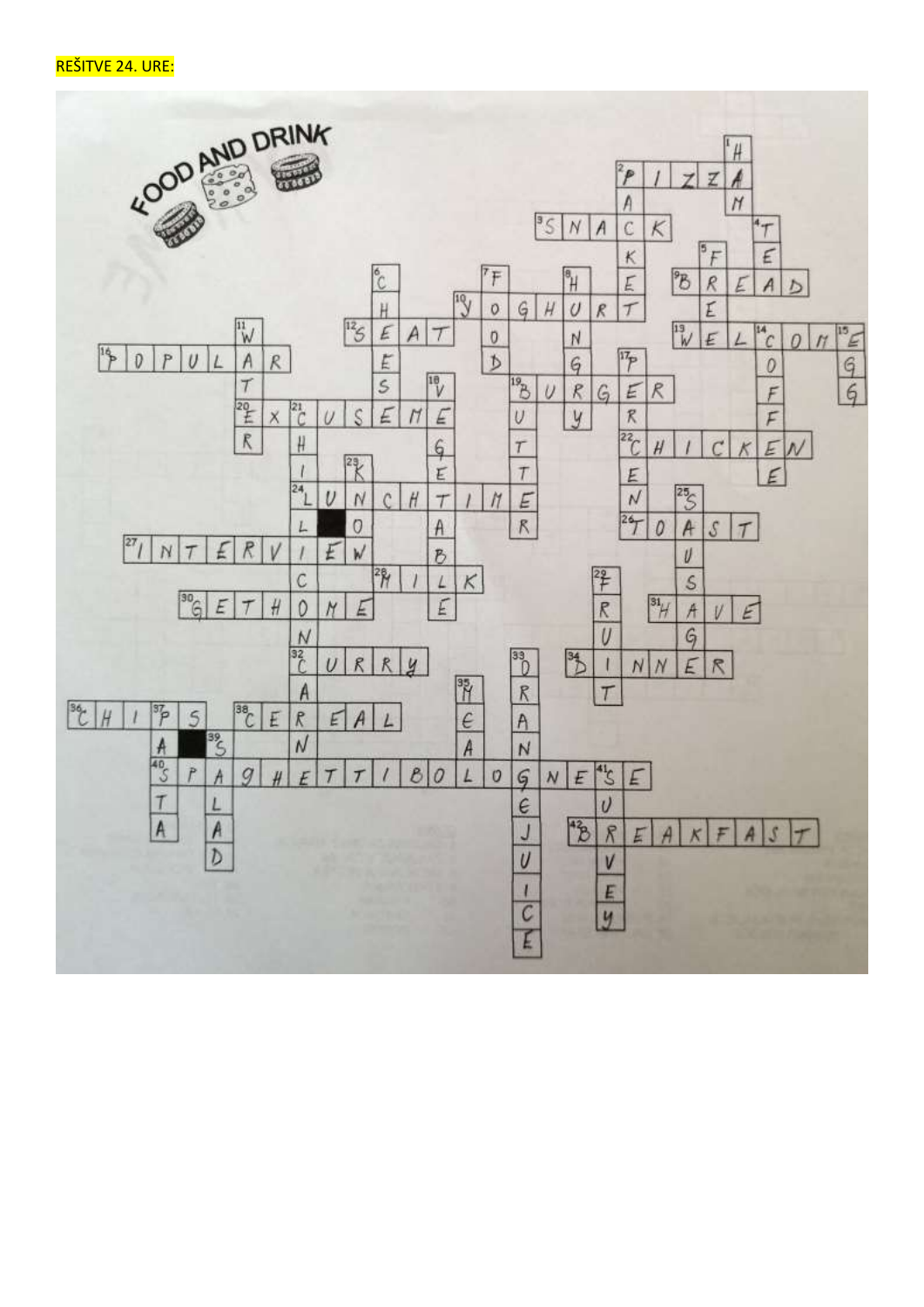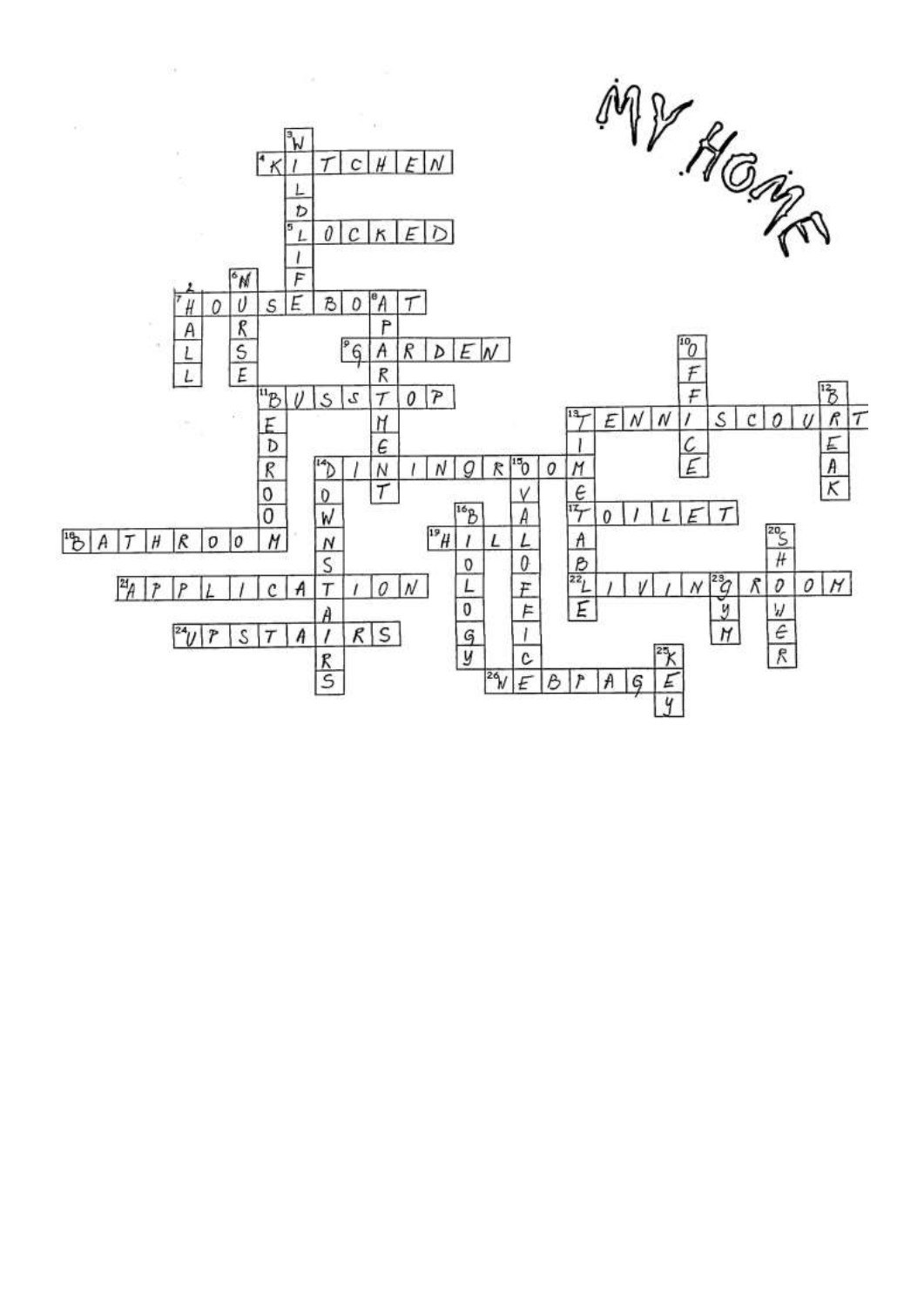